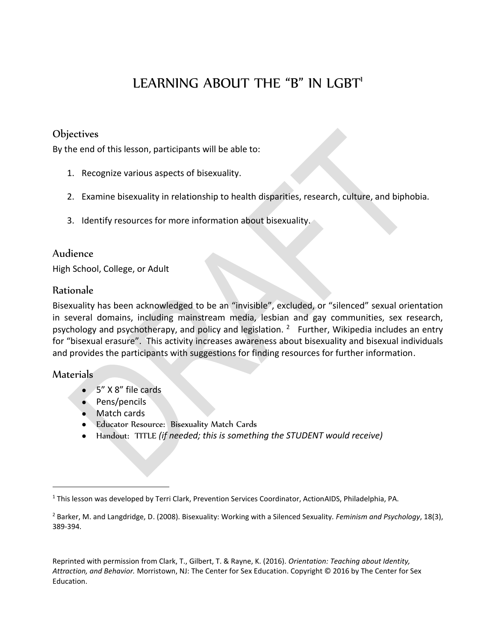# LEARNING ABOUT THE "B" IN LGBT'

# **Objectives**

By the end of this lesson, participants will be able to:

- 1. Recognize various aspects of bisexuality.
- 2. Examine bisexuality in relationship to health disparities, research, culture, and biphobia.
- 3. Identify resources for more information about bisexuality.

## Audience

High School, College, or Adult

## Rationale

Bisexuality has been acknowledged to be an "invisible", excluded, or "silenced" sexual orientation in several domains, including mainstream media, lesbian and gay communities, sex research, psychology and psychotherapy, and policy and legislation. <sup>2</sup> Further, Wikipedia includes an entry for "bisexual erasure". This activity increases awareness about bisexuality and bisexual individuals and provides the participants with suggestions for finding resources for further information.

#### Materials

- 5" X 8" file cards
- Pens/pencils
- Match cards
- **Educator Resource: Bisexuality Match Cards**
- Handout: TITLE *(if needed; this is something the STUDENT would receive)*

<sup>&</sup>lt;sup>1</sup> This lesson was developed by Terri Clark, Prevention Services Coordinator, ActionAIDS, Philadelphia, PA.

<sup>2</sup> Barker, M. and Langdridge, D. (2008). Bisexuality: Working with a Silenced Sexuality*. Feminism and Psychology*, 18(3), 389-394.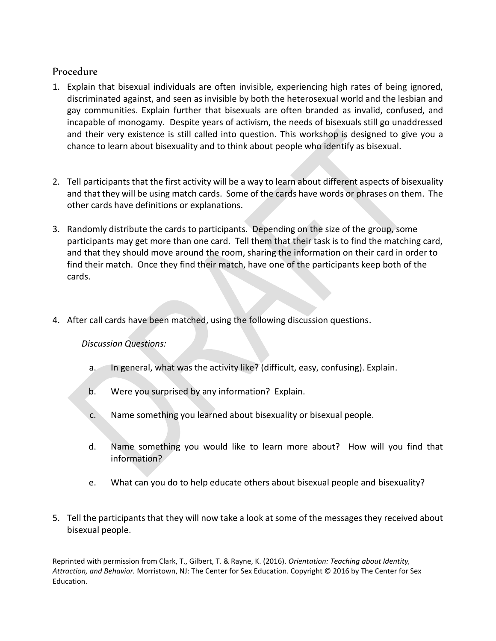# Procedure

- 1. Explain that bisexual individuals are often invisible, experiencing high rates of being ignored, discriminated against, and seen as invisible by both the heterosexual world and the lesbian and gay communities. Explain further that bisexuals are often branded as invalid, confused, and incapable of monogamy. Despite years of activism, the needs of bisexuals still go unaddressed and their very existence is still called into question. This workshop is designed to give you a chance to learn about bisexuality and to think about people who identify as bisexual.
- 2. Tell participants that the first activity will be a way to learn about different aspects of bisexuality and that they will be using match cards. Some of the cards have words or phrases on them. The other cards have definitions or explanations.
- 3. Randomly distribute the cards to participants. Depending on the size of the group, some participants may get more than one card. Tell them that their task is to find the matching card, and that they should move around the room, sharing the information on their card in order to find their match. Once they find their match, have one of the participants keep both of the cards.
- 4. After call cards have been matched, using the following discussion questions.

#### *Discussion Questions:*

- a. In general, what was the activity like? (difficult, easy, confusing). Explain.
- b. Were you surprised by any information? Explain.
- c. Name something you learned about bisexuality or bisexual people.
- d. Name something you would like to learn more about? How will you find that information?
- e. What can you do to help educate others about bisexual people and bisexuality?
- 5. Tell the participants that they will now take a look at some of the messages they received about bisexual people.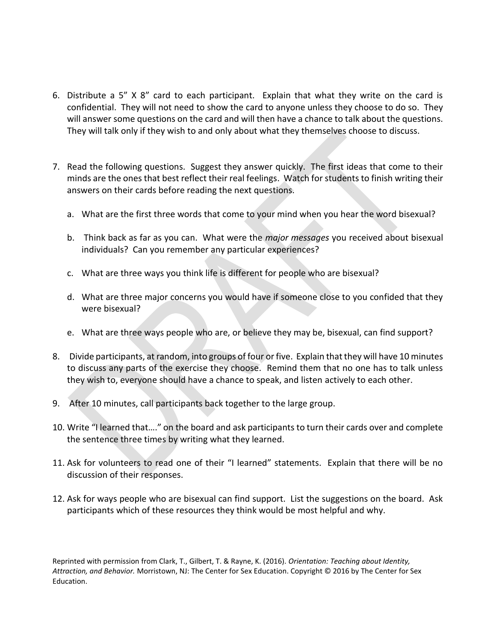- 6. Distribute a 5" X 8" card to each participant. Explain that what they write on the card is confidential. They will not need to show the card to anyone unless they choose to do so. They will answer some questions on the card and will then have a chance to talk about the questions. They will talk only if they wish to and only about what they themselves choose to discuss.
- 7. Read the following questions. Suggest they answer quickly. The first ideas that come to their minds are the ones that best reflect their real feelings. Watch for students to finish writing their answers on their cards before reading the next questions.
	- a. What are the first three words that come to your mind when you hear the word bisexual?
	- b. Think back as far as you can. What were the *major messages* you received about bisexual individuals? Can you remember any particular experiences?
	- c. What are three ways you think life is different for people who are bisexual?
	- d. What are three major concerns you would have if someone close to you confided that they were bisexual?
	- e. What are three ways people who are, or believe they may be, bisexual, can find support?
- 8. Divide participants, at random, into groups of four or five. Explain that they will have 10 minutes to discuss any parts of the exercise they choose. Remind them that no one has to talk unless they wish to, everyone should have a chance to speak, and listen actively to each other.
- 9. After 10 minutes, call participants back together to the large group.
- 10. Write "I learned that…." on the board and ask participants to turn their cards over and complete the sentence three times by writing what they learned.
- 11. Ask for volunteers to read one of their "I learned" statements. Explain that there will be no discussion of their responses.
- 12. Ask for ways people who are bisexual can find support. List the suggestions on the board. Ask participants which of these resources they think would be most helpful and why.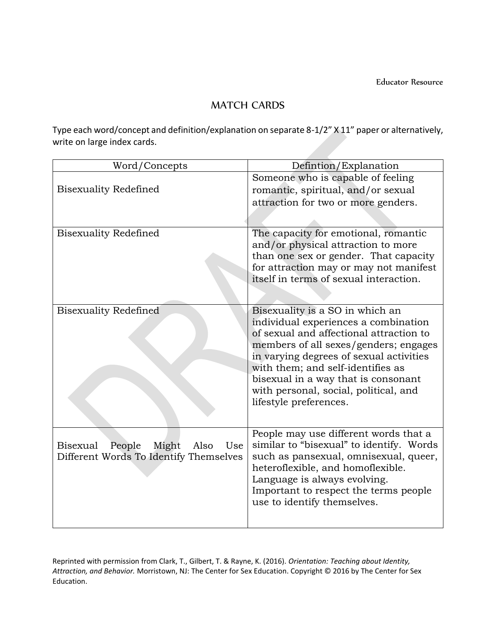## MATCH CARDS

Type each word/concept and definition/explanation on separate 8-1/2" X 11" paper or alternatively, write on large index cards.

| Word/Concepts                                     | Defintion/Explanation                                                        |
|---------------------------------------------------|------------------------------------------------------------------------------|
|                                                   | Someone who is capable of feeling                                            |
| <b>Bisexuality Redefined</b>                      | romantic, spiritual, and/or sexual                                           |
|                                                   | attraction for two or more genders.                                          |
|                                                   |                                                                              |
| <b>Bisexuality Redefined</b>                      | The capacity for emotional, romantic                                         |
|                                                   | and/or physical attraction to more                                           |
|                                                   | than one sex or gender. That capacity                                        |
|                                                   | for attraction may or may not manifest                                       |
|                                                   | itself in terms of sexual interaction.                                       |
|                                                   |                                                                              |
|                                                   |                                                                              |
| <b>Bisexuality Redefined</b>                      | Bisexuality is a SO in which an                                              |
|                                                   | individual experiences a combination                                         |
|                                                   | of sexual and affectional attraction to                                      |
|                                                   | members of all sexes/genders; engages                                        |
|                                                   | in varying degrees of sexual activities<br>with them; and self-identifies as |
|                                                   | bisexual in a way that is consonant                                          |
|                                                   | with personal, social, political, and                                        |
|                                                   | lifestyle preferences.                                                       |
|                                                   |                                                                              |
|                                                   |                                                                              |
|                                                   | People may use different words that a                                        |
| <b>Bisexual</b><br>People<br>Might<br>Also<br>Use | similar to "bisexual" to identify. Words                                     |
| Different Words To Identify Themselves            | such as pansexual, omnisexual, queer,                                        |
|                                                   | heteroflexible, and homoflexible.                                            |
|                                                   | Language is always evolving.                                                 |
|                                                   | Important to respect the terms people                                        |
|                                                   | use to identify themselves.                                                  |
|                                                   |                                                                              |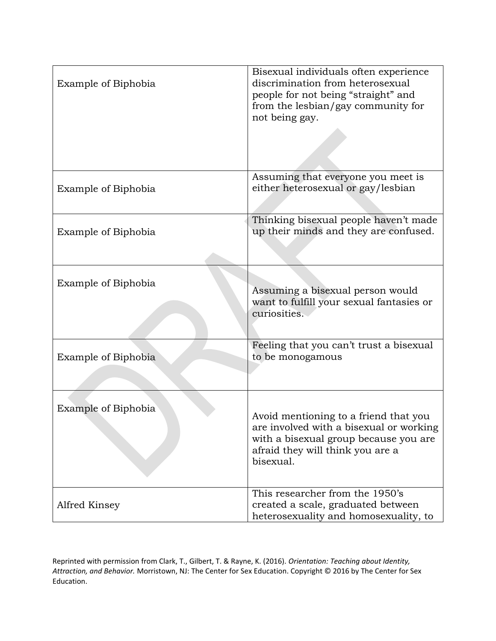| Example of Biphobia | Bisexual individuals often experience<br>discrimination from heterosexual<br>people for not being "straight" and<br>from the lesbian/gay community for<br>not being gay.   |
|---------------------|----------------------------------------------------------------------------------------------------------------------------------------------------------------------------|
| Example of Biphobia | Assuming that everyone you meet is<br>either heterosexual or gay/lesbian                                                                                                   |
| Example of Biphobia | Thinking bisexual people haven't made<br>up their minds and they are confused.                                                                                             |
| Example of Biphobia | Assuming a bisexual person would<br>want to fulfill your sexual fantasies or<br>curiosities.                                                                               |
| Example of Biphobia | Feeling that you can't trust a bisexual<br>to be monogamous                                                                                                                |
| Example of Biphobia | Avoid mentioning to a friend that you<br>are involved with a bisexual or working<br>with a bisexual group because you are<br>afraid they will think you are a<br>bisexual. |
| Alfred Kinsey       | This researcher from the 1950's<br>created a scale, graduated between<br>heterosexuality and homosexuality, to                                                             |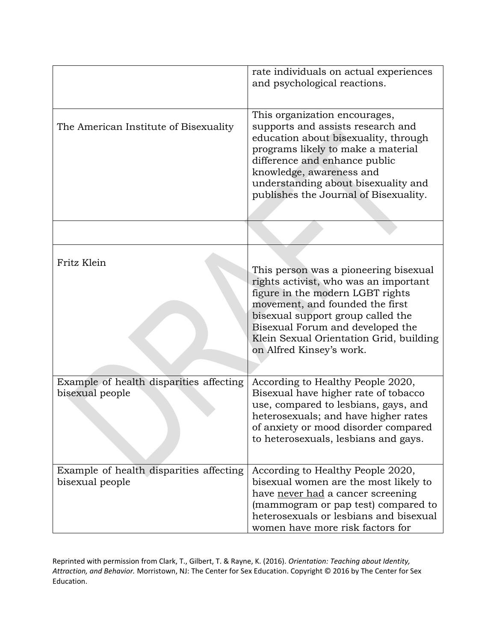|                                                            | rate individuals on actual experiences<br>and psychological reactions.                                                                                                                                                                                                                                |
|------------------------------------------------------------|-------------------------------------------------------------------------------------------------------------------------------------------------------------------------------------------------------------------------------------------------------------------------------------------------------|
| The American Institute of Bisexuality                      | This organization encourages,<br>supports and assists research and<br>education about bisexuality, through<br>programs likely to make a material<br>difference and enhance public<br>knowledge, awareness and<br>understanding about bisexuality and<br>publishes the Journal of Bisexuality.         |
|                                                            |                                                                                                                                                                                                                                                                                                       |
| Fritz Klein                                                | This person was a pioneering bisexual<br>rights activist, who was an important<br>figure in the modern LGBT rights<br>movement, and founded the first<br>bisexual support group called the<br>Bisexual Forum and developed the<br>Klein Sexual Orientation Grid, building<br>on Alfred Kinsey's work. |
| Example of health disparities affecting<br>bisexual people | According to Healthy People 2020,<br>Bisexual have higher rate of tobacco<br>use, compared to lesbians, gays, and<br>heterosexuals; and have higher rates<br>of anxiety or mood disorder compared<br>to heterosexuals, lesbians and gays.                                                             |
| Example of health disparities affecting<br>bisexual people | According to Healthy People 2020,<br>bisexual women are the most likely to<br>have never had a cancer screening<br>(mammogram or pap test) compared to<br>heterosexuals or lesbians and bisexual<br>women have more risk factors for                                                                  |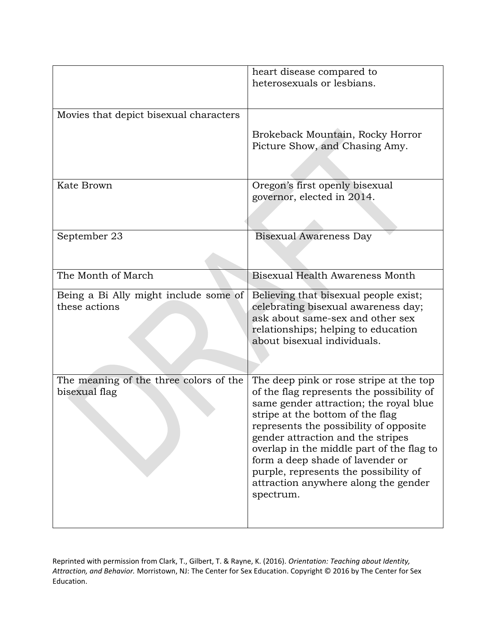|                                                         | heart disease compared to<br>heterosexuals or lesbians.                                                                        |
|---------------------------------------------------------|--------------------------------------------------------------------------------------------------------------------------------|
|                                                         |                                                                                                                                |
| Movies that depict bisexual characters                  |                                                                                                                                |
|                                                         | Brokeback Mountain, Rocky Horror<br>Picture Show, and Chasing Amy.                                                             |
|                                                         |                                                                                                                                |
| Kate Brown                                              | Oregon's first openly bisexual<br>governor, elected in 2014.                                                                   |
|                                                         |                                                                                                                                |
| September 23                                            | <b>Bisexual Awareness Day</b>                                                                                                  |
|                                                         |                                                                                                                                |
| The Month of March                                      | Bisexual Health Awareness Month                                                                                                |
| Being a Bi Ally might include some of<br>these actions  | Believing that bisexual people exist;<br>celebrating bisexual awareness day;                                                   |
|                                                         | ask about same-sex and other sex<br>relationships; helping to education                                                        |
|                                                         | about bisexual individuals.                                                                                                    |
|                                                         |                                                                                                                                |
| The meaning of the three colors of the<br>bisexual flag | The deep pink or rose stripe at the top<br>of the flag represents the possibility of<br>same gender attraction; the royal blue |
|                                                         | stripe at the bottom of the flag                                                                                               |
|                                                         | represents the possibility of opposite<br>gender attraction and the stripes                                                    |
|                                                         | overlap in the middle part of the flag to<br>form a deep shade of lavender or                                                  |
|                                                         | purple, represents the possibility of<br>attraction anywhere along the gender                                                  |
|                                                         | spectrum.                                                                                                                      |
|                                                         |                                                                                                                                |